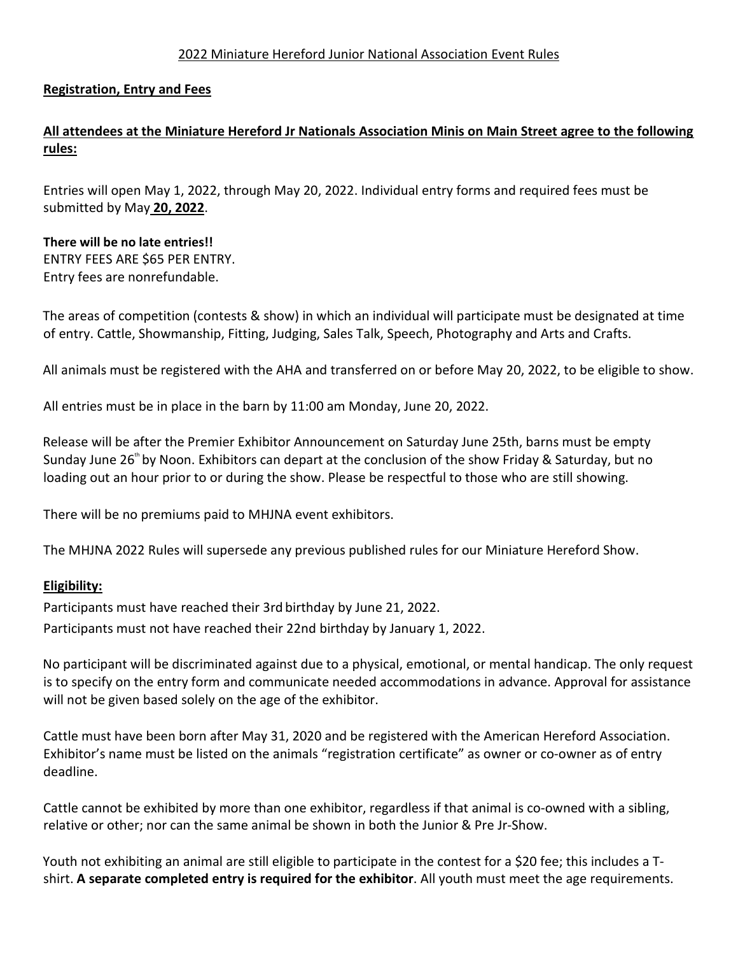#### 2022 Miniature Hereford Junior National Association Event Rules

### **Registration, Entry and Fees**

# **All attendees at the Miniature Hereford Jr Nationals Association Minis on Main Street agree to the following rules:**

Entries will open May 1, 2022, through May 20, 2022. Individual entry forms and required fees must be submitted by May **20, 2022**.

# **There will be no late entries!!** ENTRY FEES ARE \$65 PER ENTRY. Entry fees are nonrefundable.

The areas of competition (contests & show) in which an individual will participate must be designated at time of entry. Cattle, Showmanship, Fitting, Judging, Sales Talk, Speech, Photography and Arts and Crafts.

All animals must be registered with the AHA and transferred on or before May 20, 2022, to be eligible to show.

All entries must be in place in the barn by 11:00 am Monday, June 20, 2022.

Release will be after the Premier Exhibitor Announcement on Saturday June 25th, barns must be empty Sunday June 26<sup>th</sup> by Noon. Exhibitors can depart at the conclusion of the show Friday & Saturday, but no loading out an hour prior to or during the show. Please be respectful to those who are still showing.

There will be no premiums paid to MHJNA event exhibitors.

The MHJNA 2022 Rules will supersede any previous published rules for our Miniature Hereford Show.

#### **Eligibility:**

Participants must have reached their 3rd birthday by June 21, 2022. Participants must not have reached their 22nd birthday by January 1, 2022.

No participant will be discriminated against due to a physical, emotional, or mental handicap. The only request is to specify on the entry form and communicate needed accommodations in advance. Approval for assistance will not be given based solely on the age of the exhibitor.

Cattle must have been born after May 31, 2020 and be registered with the American Hereford Association. Exhibitor's name must be listed on the animals "registration certificate" as owner or co-owner as of entry deadline.

Cattle cannot be exhibited by more than one exhibitor, regardless if that animal is co-owned with a sibling, relative or other; nor can the same animal be shown in both the Junior & Pre Jr-Show.

Youth not exhibiting an animal are still eligible to participate in the contest for a \$20 fee; this includes a Tshirt. **A separate completed entry is required for the exhibitor**. All youth must meet the age requirements.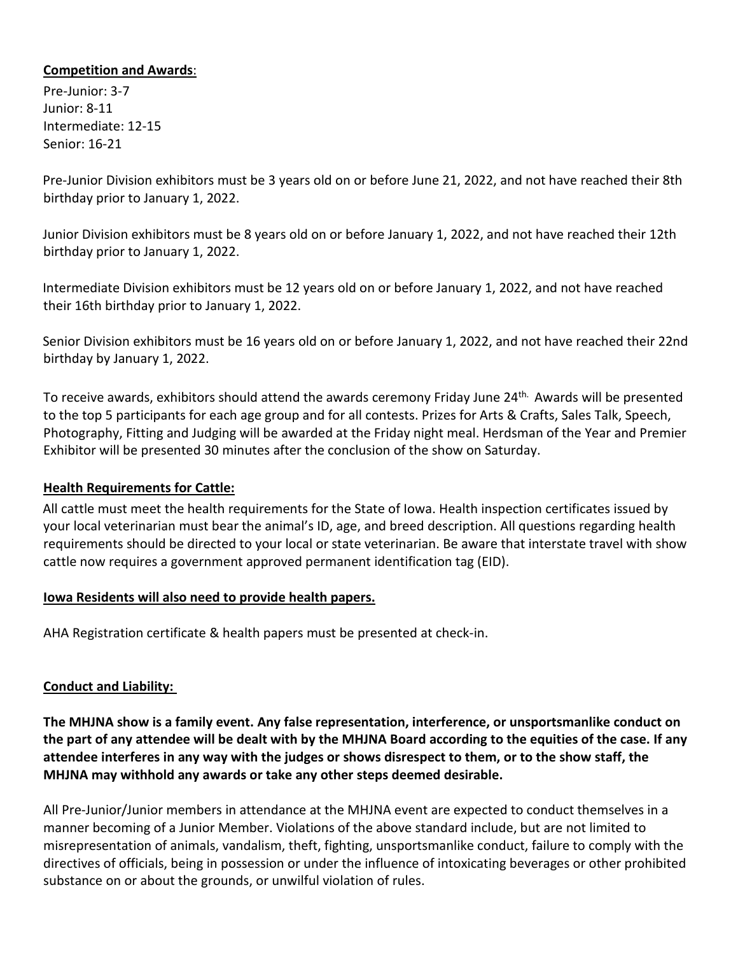### **Competition and Awards**:

Pre-Junior: 3-7 Junior: 8-11 Intermediate: 12-15 Senior: 16-21

Pre-Junior Division exhibitors must be 3 years old on or before June 21, 2022, and not have reached their 8th birthday prior to January 1, 2022.

Junior Division exhibitors must be 8 years old on or before January 1, 2022, and not have reached their 12th birthday prior to January 1, 2022.

Intermediate Division exhibitors must be 12 years old on or before January 1, 2022, and not have reached their 16th birthday prior to January 1, 2022.

Senior Division exhibitors must be 16 years old on or before January 1, 2022, and not have reached their 22nd birthday by January 1, 2022.

To receive awards, exhibitors should attend the awards ceremony Friday June 24<sup>th.</sup> Awards will be presented to the top 5 participants for each age group and for all contests. Prizes for Arts & Crafts, Sales Talk, Speech, Photography, Fitting and Judging will be awarded at the Friday night meal. Herdsman of the Year and Premier Exhibitor will be presented 30 minutes after the conclusion of the show on Saturday.

## **Health Requirements for Cattle:**

All cattle must meet the health requirements for the State of Iowa. Health inspection certificates issued by your local veterinarian must bear the animal's ID, age, and breed description. All questions regarding health requirements should be directed to your local or state veterinarian. Be aware that interstate travel with show cattle now requires a government approved permanent identification tag (EID).

#### **Iowa Residents will also need to provide health papers.**

AHA Registration certificate & health papers must be presented at check-in.

## **Conduct and Liability:**

**The MHJNA show is a family event. Any false representation, interference, or unsportsmanlike conduct on the part of any attendee will be dealt with by the MHJNA Board according to the equities of the case. If any attendee interferes in any way with the judges or shows disrespect to them, or to the show staff, the MHJNA may withhold any awards or take any other steps deemed desirable.**

All Pre-Junior/Junior members in attendance at the MHJNA event are expected to conduct themselves in a manner becoming of a Junior Member. Violations of the above standard include, but are not limited to misrepresentation of animals, vandalism, theft, fighting, unsportsmanlike conduct, failure to comply with the directives of officials, being in possession or under the influence of intoxicating beverages or other prohibited substance on or about the grounds, or unwilful violation of rules.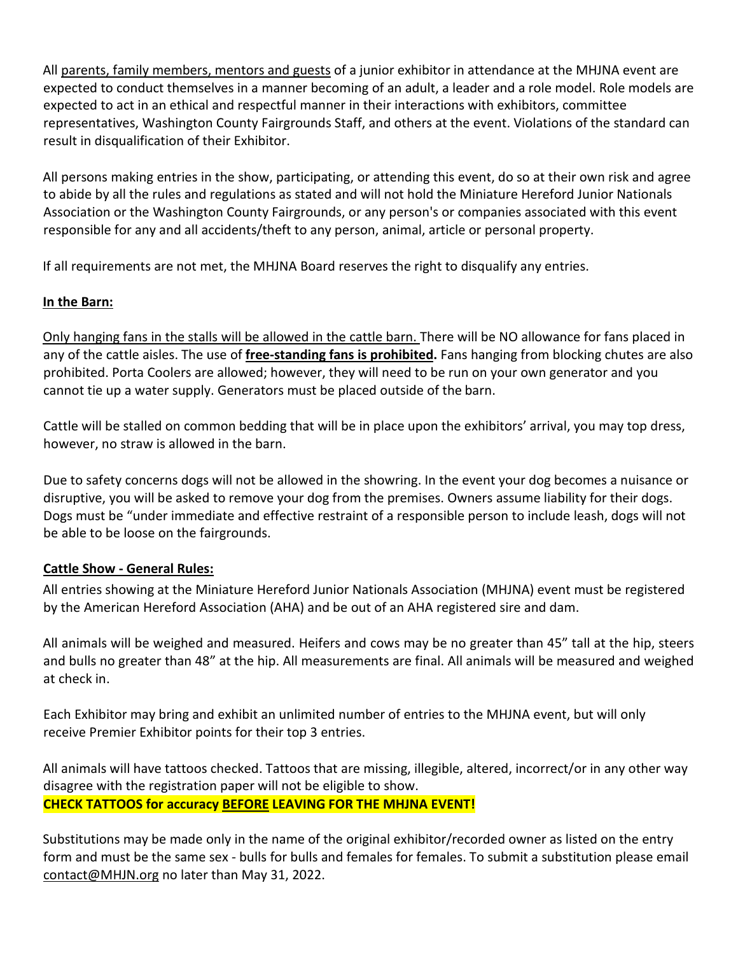All parents, family members, mentors and guests of a junior exhibitor in attendance at the MHJNA event are expected to conduct themselves in a manner becoming of an adult, a leader and a role model. Role models are expected to act in an ethical and respectful manner in their interactions with exhibitors, committee representatives, Washington County Fairgrounds Staff, and others at the event. Violations of the standard can result in disqualification of their Exhibitor.

All persons making entries in the show, participating, or attending this event, do so at their own risk and agree to abide by all the rules and regulations as stated and will not hold the Miniature Hereford Junior Nationals Association or the Washington County Fairgrounds, or any person's or companies associated with this event responsible for any and all accidents/theft to any person, animal, article or personal property.

If all requirements are not met, the MHJNA Board reserves the right to disqualify any entries.

# **In the Barn:**

Only hanging fans in the stalls will be allowed in the cattle barn. There will be NO allowance for fans placed in any of the cattle aisles. The use of **free-standing fans is prohibited.** Fans hanging from blocking chutes are also prohibited. Porta Coolers are allowed; however, they will need to be run on your own generator and you cannot tie up a water supply. Generators must be placed outside of the barn.

Cattle will be stalled on common bedding that will be in place upon the exhibitors' arrival, you may top dress, however, no straw is allowed in the barn.

Due to safety concerns dogs will not be allowed in the showring. In the event your dog becomes a nuisance or disruptive, you will be asked to remove your dog from the premises. Owners assume liability for their dogs. Dogs must be "under immediate and effective restraint of a responsible person to include leash, dogs will not be able to be loose on the fairgrounds.

## **Cattle Show - General Rules:**

All entries showing at the Miniature Hereford Junior Nationals Association (MHJNA) event must be registered by the American Hereford Association (AHA) and be out of an AHA registered sire and dam.

All animals will be weighed and measured. Heifers and cows may be no greater than 45" tall at the hip, steers and bulls no greater than 48" at the hip. All measurements are final. All animals will be measured and weighed at check in.

Each Exhibitor may bring and exhibit an unlimited number of entries to the MHJNA event, but will only receive Premier Exhibitor points for their top 3 entries.

All animals will have tattoos checked. Tattoos that are missing, illegible, altered, incorrect/or in any other way disagree with the registration paper will not be eligible to show. **CHECK TATTOOS for accuracy BEFORE LEAVING FOR THE MHJNA EVENT!**

Substitutions may be made only in the name of the original exhibitor/recorded owner as listed on the entry form and must be the same sex - bulls for bulls and females for females. To submit a substitution please email [contact@MHJN.org](mailto:contact@MHJN.org) no later than May 31, 2022.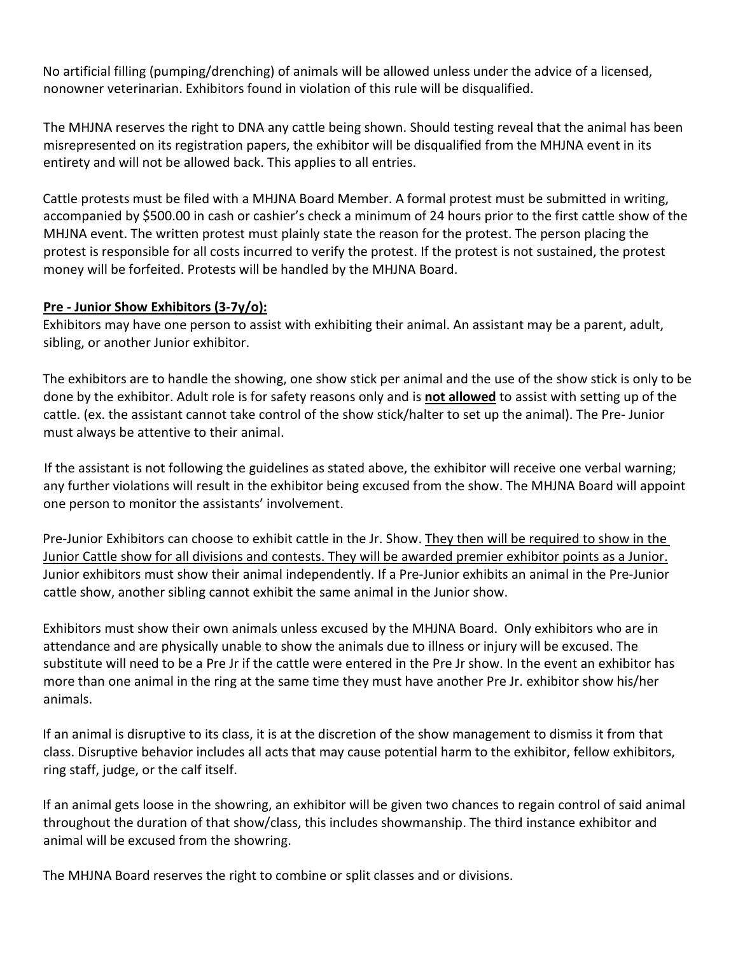No artificial filling (pumping/drenching) of animals will be allowed unless under the advice of a licensed, nonowner veterinarian. Exhibitors found in violation of this rule will be disqualified.

The MHJNA reserves the right to DNA any cattle being shown. Should testing reveal that the animal has been misrepresented on its registration papers, the exhibitor will be disqualified from the MHJNA event in its entirety and will not be allowed back. This applies to all entries.

Cattle protests must be filed with a MHJNA Board Member. A formal protest must be submitted in writing, accompanied by \$500.00 in cash or cashier's check a minimum of 24 hours prior to the first cattle show of the MHJNA event. The written protest must plainly state the reason for the protest. The person placing the protest is responsible for all costs incurred to verify the protest. If the protest is not sustained, the protest money will be forfeited. Protests will be handled by the MHJNA Board.

## **Pre - Junior Show Exhibitors (3-7y/o):**

Exhibitors may have one person to assist with exhibiting their animal. An assistant may be a parent, adult, sibling, or another Junior exhibitor.

The exhibitors are to handle the showing, one show stick per animal and the use of the show stick is only to be done by the exhibitor. Adult role is for safety reasons only and is **not allowed** to assist with setting up of the cattle. (ex. the assistant cannot take control of the show stick/halter to set up the animal). The Pre- Junior must always be attentive to their animal.

If the assistant is not following the guidelines as stated above, the exhibitor will receive one verbal warning; any further violations will result in the exhibitor being excused from the show. The MHJNA Board will appoint one person to monitor the assistants' involvement.

Pre-Junior Exhibitors can choose to exhibit cattle in the Jr. Show. They then will be required to show in the Junior Cattle show for all divisions and contests. They will be awarded premier exhibitor points as a Junior. Junior exhibitors must show their animal independently. If a Pre-Junior exhibits an animal in the Pre-Junior cattle show, another sibling cannot exhibit the same animal in the Junior show.

Exhibitors must show their own animals unless excused by the MHJNA Board. Only exhibitors who are in attendance and are physically unable to show the animals due to illness or injury will be excused. The substitute will need to be a Pre Jr if the cattle were entered in the Pre Jr show. In the event an exhibitor has more than one animal in the ring at the same time they must have another Pre Jr. exhibitor show his/her animals.

If an animal is disruptive to its class, it is at the discretion of the show management to dismiss it from that class. Disruptive behavior includes all acts that may cause potential harm to the exhibitor, fellow exhibitors, ring staff, judge, or the calf itself.

If an animal gets loose in the showring, an exhibitor will be given two chances to regain control of said animal throughout the duration of that show/class, this includes showmanship. The third instance exhibitor and animal will be excused from the showring.

The MHJNA Board reserves the right to combine or split classes and or divisions.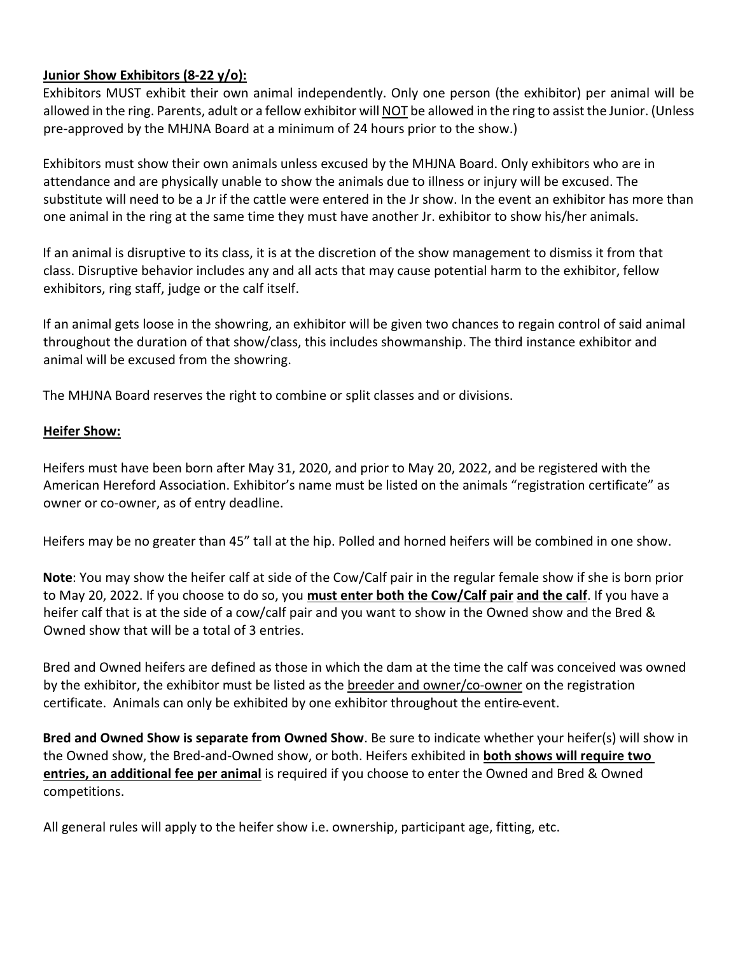## **Junior Show Exhibitors (8-22 y/o):**

Exhibitors MUST exhibit their own animal independently. Only one person (the exhibitor) per animal will be allowed in the ring. Parents, adult or a fellow exhibitor will NOT be allowed in the ring to assist the Junior. (Unless pre-approved by the MHJNA Board at a minimum of 24 hours prior to the show.)

Exhibitors must show their own animals unless excused by the MHJNA Board. Only exhibitors who are in attendance and are physically unable to show the animals due to illness or injury will be excused. The substitute will need to be a Jr if the cattle were entered in the Jr show. In the event an exhibitor has more than one animal in the ring at the same time they must have another Jr. exhibitor to show his/her animals.

If an animal is disruptive to its class, it is at the discretion of the show management to dismiss it from that class. Disruptive behavior includes any and all acts that may cause potential harm to the exhibitor, fellow exhibitors, ring staff, judge or the calf itself.

If an animal gets loose in the showring, an exhibitor will be given two chances to regain control of said animal throughout the duration of that show/class, this includes showmanship. The third instance exhibitor and animal will be excused from the showring.

The MHJNA Board reserves the right to combine or split classes and or divisions.

# **Heifer Show:**

Heifers must have been born after May 31, 2020, and prior to May 20, 2022, and be registered with the American Hereford Association. Exhibitor's name must be listed on the animals "registration certificate" as owner or co-owner, as of entry deadline.

Heifers may be no greater than 45" tall at the hip. Polled and horned heifers will be combined in one show.

**Note**: You may show the heifer calf at side of the Cow/Calf pair in the regular female show if she is born prior to May 20, 2022. If you choose to do so, you **must enter both the Cow/Calf pair and the calf**. If you have a heifer calf that is at the side of a cow/calf pair and you want to show in the Owned show and the Bred & Owned show that will be a total of 3 entries.

Bred and Owned heifers are defined as those in which the dam at the time the calf was conceived was owned by the exhibitor, the exhibitor must be listed as the breeder and owner/co-owner on the registration certificate. Animals can only be exhibited by one exhibitor throughout the entire event.

**Bred and Owned Show is separate from Owned Show**. Be sure to indicate whether your heifer(s) will show in the Owned show, the Bred-and-Owned show, or both. Heifers exhibited in **both shows will require two entries, an additional fee per animal** is required if you choose to enter the Owned and Bred & Owned competitions.

All general rules will apply to the heifer show i.e. ownership, participant age, fitting, etc.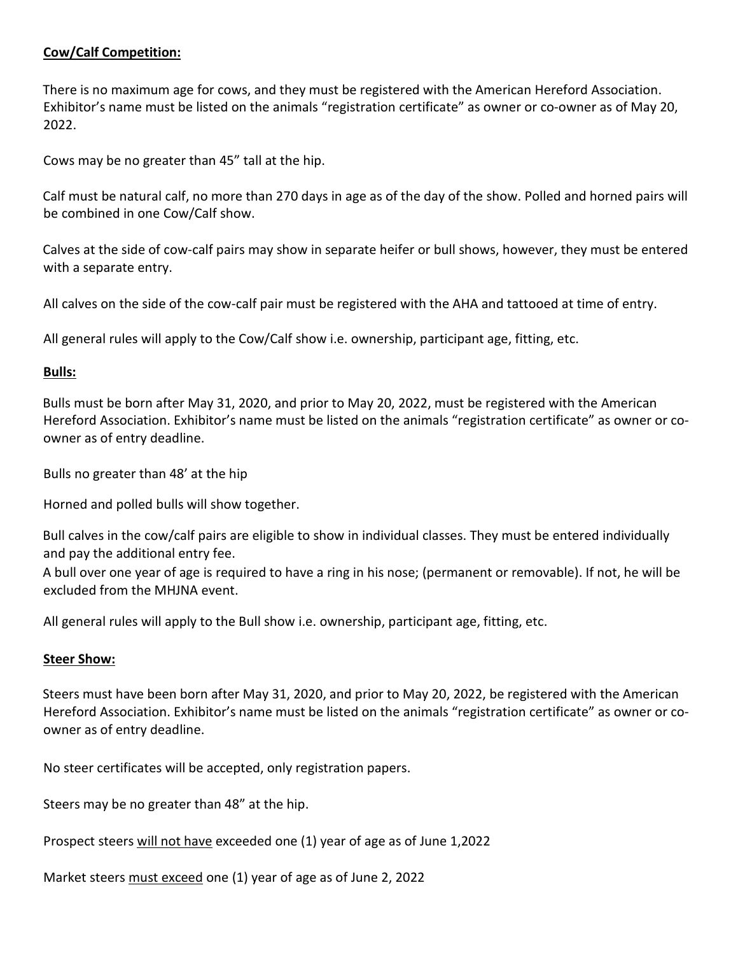## **Cow/Calf Competition:**

There is no maximum age for cows, and they must be registered with the American Hereford Association. Exhibitor's name must be listed on the animals "registration certificate" as owner or co-owner as of May 20, 2022.

Cows may be no greater than 45" tall at the hip.

Calf must be natural calf, no more than 270 days in age as of the day of the show. Polled and horned pairs will be combined in one Cow/Calf show.

Calves at the side of cow-calf pairs may show in separate heifer or bull shows, however, they must be entered with a separate entry.

All calves on the side of the cow-calf pair must be registered with the AHA and tattooed at time of entry.

All general rules will apply to the Cow/Calf show i.e. ownership, participant age, fitting, etc.

## **Bulls:**

Bulls must be born after May 31, 2020, and prior to May 20, 2022, must be registered with the American Hereford Association. Exhibitor's name must be listed on the animals "registration certificate" as owner or coowner as of entry deadline.

Bulls no greater than 48' at the hip

Horned and polled bulls will show together.

Bull calves in the cow/calf pairs are eligible to show in individual classes. They must be entered individually and pay the additional entry fee.

A bull over one year of age is required to have a ring in his nose; (permanent or removable). If not, he will be excluded from the MHJNA event.

All general rules will apply to the Bull show i.e. ownership, participant age, fitting, etc.

## **Steer Show:**

Steers must have been born after May 31, 2020, and prior to May 20, 2022, be registered with the American Hereford Association. Exhibitor's name must be listed on the animals "registration certificate" as owner or coowner as of entry deadline.

No steer certificates will be accepted, only registration papers.

Steers may be no greater than 48" at the hip.

Prospect steers will not have exceeded one (1) year of age as of June 1,2022

Market steers must exceed one (1) year of age as of June 2, 2022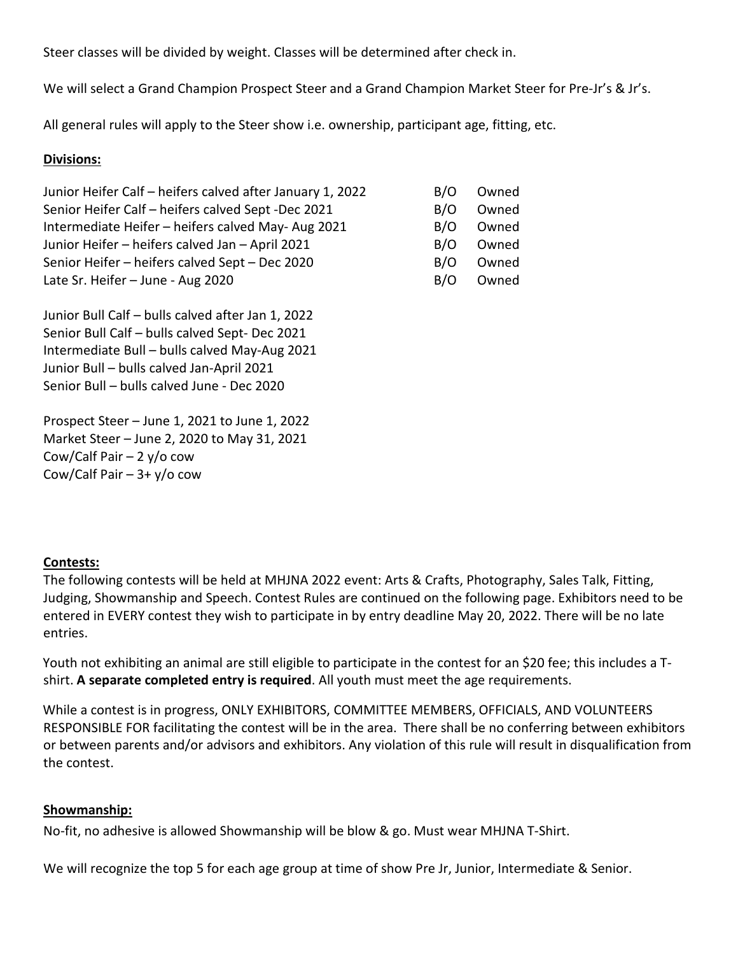Steer classes will be divided by weight. Classes will be determined after check in.

We will select a Grand Champion Prospect Steer and a Grand Champion Market Steer for Pre-Jr's & Jr's.

All general rules will apply to the Steer show i.e. ownership, participant age, fitting, etc.

#### **Divisions:**

| Junior Heifer Calf - heifers calved after January 1, 2022 | B/O | Owned |
|-----------------------------------------------------------|-----|-------|
| Senior Heifer Calf - heifers calved Sept -Dec 2021        | B/O | Owned |
| Intermediate Heifer - heifers calved May-Aug 2021         | B/O | Owned |
| Junior Heifer - heifers calved Jan - April 2021           | B/O | Owned |
| Senior Heifer - heifers calved Sept - Dec 2020            | B/O | Owned |
| Late Sr. Heifer - June - Aug 2020                         | B/O | Owned |

Junior Bull Calf – bulls calved after Jan 1, 2022 Senior Bull Calf – bulls calved Sept- Dec 2021 Intermediate Bull – bulls calved May-Aug 2021 Junior Bull – bulls calved Jan-April 2021 Senior Bull – bulls calved June - Dec 2020

Prospect Steer – June 1, 2021 to June 1, 2022 Market Steer – June 2, 2020 to May 31, 2021 Cow/Calf Pair  $-2 y$ /o cow Cow/Calf Pair  $-3+$  y/o cow

#### **Contests:**

The following contests will be held at MHJNA 2022 event: Arts & Crafts, Photography, Sales Talk, Fitting, Judging, Showmanship and Speech. Contest Rules are continued on the following page. Exhibitors need to be entered in EVERY contest they wish to participate in by entry deadline May 20, 2022. There will be no late entries.

Youth not exhibiting an animal are still eligible to participate in the contest for an \$20 fee; this includes a Tshirt. **A separate completed entry is required**. All youth must meet the age requirements.

While a contest is in progress, ONLY EXHIBITORS, COMMITTEE MEMBERS, OFFICIALS, AND VOLUNTEERS RESPONSIBLE FOR facilitating the contest will be in the area. There shall be no conferring between exhibitors or between parents and/or advisors and exhibitors. Any violation of this rule will result in disqualification from the contest.

#### **Showmanship:**

No-fit, no adhesive is allowed Showmanship will be blow & go. Must wear MHJNA T-Shirt.

We will recognize the top 5 for each age group at time of show Pre Jr, Junior, Intermediate & Senior.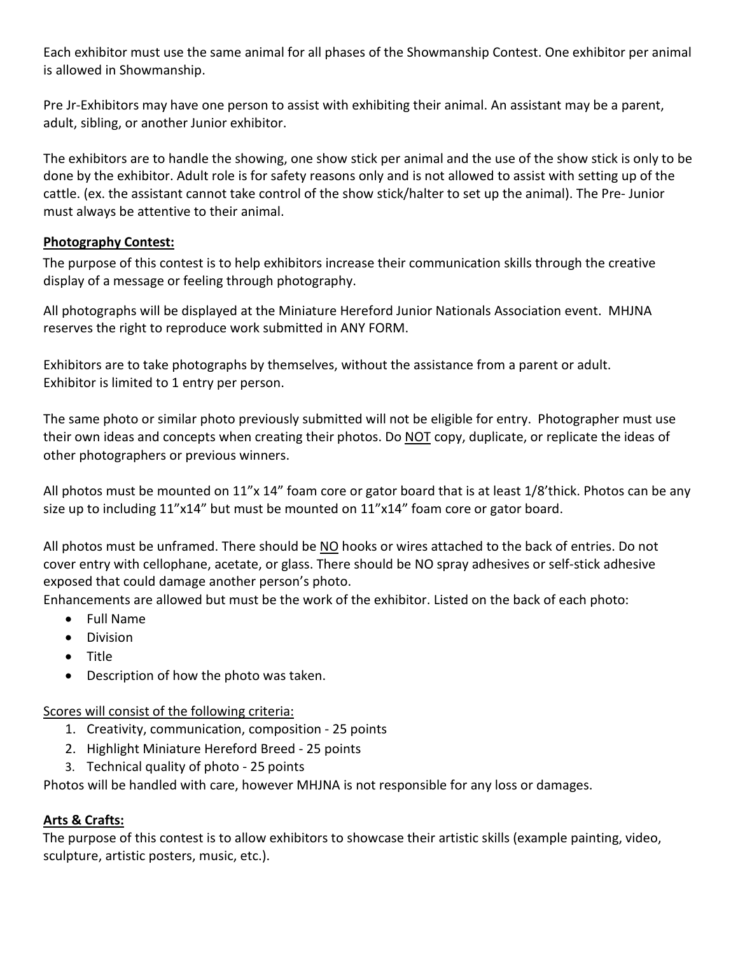Each exhibitor must use the same animal for all phases of the Showmanship Contest. One exhibitor per animal is allowed in Showmanship.

Pre Jr-Exhibitors may have one person to assist with exhibiting their animal. An assistant may be a parent, adult, sibling, or another Junior exhibitor.

The exhibitors are to handle the showing, one show stick per animal and the use of the show stick is only to be done by the exhibitor. Adult role is for safety reasons only and is not allowed to assist with setting up of the cattle. (ex. the assistant cannot take control of the show stick/halter to set up the animal). The Pre- Junior must always be attentive to their animal.

## **Photography Contest:**

The purpose of this contest is to help exhibitors increase their communication skills through the creative display of a message or feeling through photography.

All photographs will be displayed at the Miniature Hereford Junior Nationals Association event. MHJNA reserves the right to reproduce work submitted in ANY FORM.

Exhibitors are to take photographs by themselves, without the assistance from a parent or adult. Exhibitor is limited to 1 entry per person.

The same photo or similar photo previously submitted will not be eligible for entry. Photographer must use their own ideas and concepts when creating their photos. Do NOT copy, duplicate, or replicate the ideas of other photographers or previous winners.

All photos must be mounted on 11"x 14" foam core or gator board that is at least 1/8'thick. Photos can be any size up to including 11"x14" but must be mounted on 11"x14" foam core or gator board.

All photos must be unframed. There should be NO hooks or wires attached to the back of entries. Do not cover entry with cellophane, acetate, or glass. There should be NO spray adhesives or self-stick adhesive exposed that could damage another person's photo.

Enhancements are allowed but must be the work of the exhibitor. Listed on the back of each photo:

- Full Name
- Division
- Title
- Description of how the photo was taken.

Scores will consist of the following criteria:

- 1. Creativity, communication, composition 25 points
- 2. Highlight Miniature Hereford Breed 25 points
- 3. Technical quality of photo 25 points

Photos will be handled with care, however MHJNA is not responsible for any loss or damages.

## **Arts & Crafts:**

The purpose of this contest is to allow exhibitors to showcase their artistic skills (example painting, video, sculpture, artistic posters, music, etc.).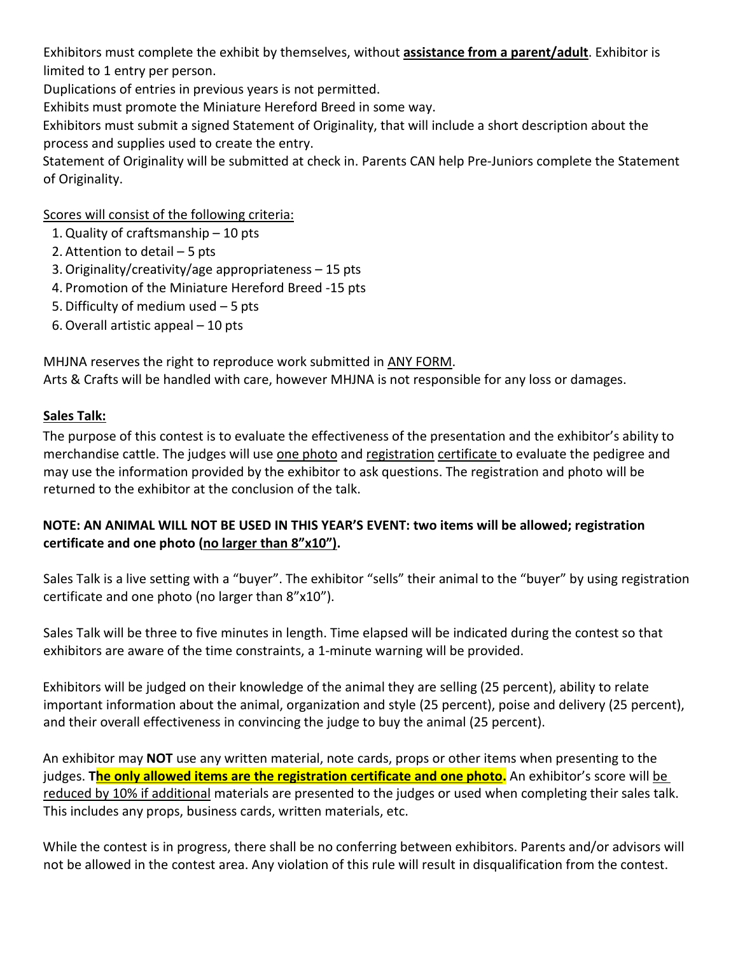Exhibitors must complete the exhibit by themselves, without **assistance from a parent/adult**. Exhibitor is limited to 1 entry per person.

Duplications of entries in previous years is not permitted.

Exhibits must promote the Miniature Hereford Breed in some way.

Exhibitors must submit a signed Statement of Originality, that will include a short description about the process and supplies used to create the entry.

Statement of Originality will be submitted at check in. Parents CAN help Pre-Juniors complete the Statement of Originality.

Scores will consist of the following criteria:

- 1.Quality of craftsmanship 10 pts
- 2. Attention to detail 5 pts
- 3. Originality/creativity/age appropriateness 15 pts
- 4. Promotion of the Miniature Hereford Breed -15 pts
- 5. Difficulty of medium used 5 pts
- 6. Overall artistic appeal 10 pts

MHJNA reserves the right to reproduce work submitted in ANY FORM. Arts & Crafts will be handled with care, however MHJNA is not responsible for any loss or damages.

## **Sales Talk:**

The purpose of this contest is to evaluate the effectiveness of the presentation and the exhibitor's ability to merchandise cattle. The judges will use one photo and registration certificate to evaluate the pedigree and may use the information provided by the exhibitor to ask questions. The registration and photo will be returned to the exhibitor at the conclusion of the talk.

# **NOTE: AN ANIMAL WILL NOT BE USED IN THIS YEAR'S EVENT: two items will be allowed; registration certificate and one photo (no larger than 8"x10").**

Sales Talk is a live setting with a "buyer". The exhibitor "sells" their animal to the "buyer" by using registration certificate and one photo (no larger than 8"x10").

Sales Talk will be three to five minutes in length. Time elapsed will be indicated during the contest so that exhibitors are aware of the time constraints, a 1-minute warning will be provided.

Exhibitors will be judged on their knowledge of the animal they are selling (25 percent), ability to relate important information about the animal, organization and style (25 percent), poise and delivery (25 percent), and their overall effectiveness in convincing the judge to buy the animal (25 percent).

An exhibitor may **NOT** use any written material, note cards, props or other items when presenting to the judges. **The only allowed items are the registration certificate and one photo.** An exhibitor's score will be reduced by 10% if additional materials are presented to the judges or used when completing their sales talk. This includes any props, business cards, written materials, etc.

While the contest is in progress, there shall be no conferring between exhibitors. Parents and/or advisors will not be allowed in the contest area. Any violation of this rule will result in disqualification from the contest.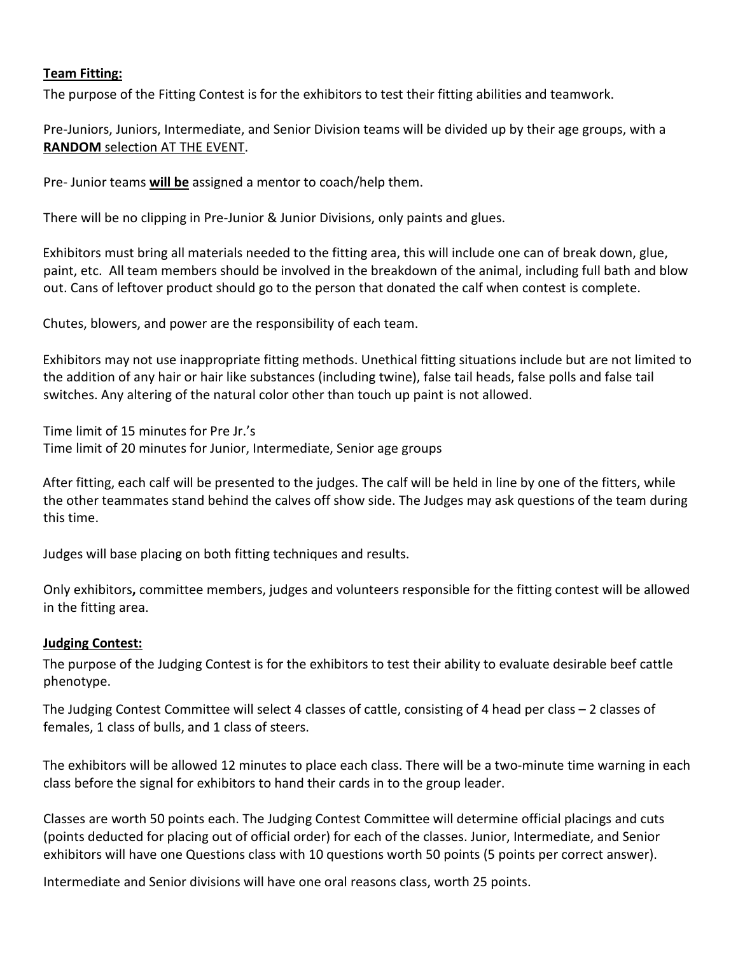### **Team Fitting:**

The purpose of the Fitting Contest is for the exhibitors to test their fitting abilities and teamwork.

Pre-Juniors, Juniors, Intermediate, and Senior Division teams will be divided up by their age groups, with a **RANDOM** selection AT THE EVENT.

Pre- Junior teams **will be** assigned a mentor to coach/help them.

There will be no clipping in Pre-Junior & Junior Divisions, only paints and glues.

Exhibitors must bring all materials needed to the fitting area, this will include one can of break down, glue, paint, etc. All team members should be involved in the breakdown of the animal, including full bath and blow out. Cans of leftover product should go to the person that donated the calf when contest is complete.

Chutes, blowers, and power are the responsibility of each team.

Exhibitors may not use inappropriate fitting methods. Unethical fitting situations include but are not limited to the addition of any hair or hair like substances (including twine), false tail heads, false polls and false tail switches. Any altering of the natural color other than touch up paint is not allowed.

Time limit of 15 minutes for Pre Jr.'s Time limit of 20 minutes for Junior, Intermediate, Senior age groups

After fitting, each calf will be presented to the judges. The calf will be held in line by one of the fitters, while the other teammates stand behind the calves off show side. The Judges may ask questions of the team during this time.

Judges will base placing on both fitting techniques and results.

Only exhibitors**,** committee members, judges and volunteers responsible for the fitting contest will be allowed in the fitting area.

#### **Judging Contest:**

The purpose of the Judging Contest is for the exhibitors to test their ability to evaluate desirable beef cattle phenotype.

The Judging Contest Committee will select 4 classes of cattle, consisting of 4 head per class – 2 classes of females, 1 class of bulls, and 1 class of steers.

The exhibitors will be allowed 12 minutes to place each class. There will be a two-minute time warning in each class before the signal for exhibitors to hand their cards in to the group leader.

Classes are worth 50 points each. The Judging Contest Committee will determine official placings and cuts (points deducted for placing out of official order) for each of the classes. Junior, Intermediate, and Senior exhibitors will have one Questions class with 10 questions worth 50 points (5 points per correct answer).

Intermediate and Senior divisions will have one oral reasons class, worth 25 points.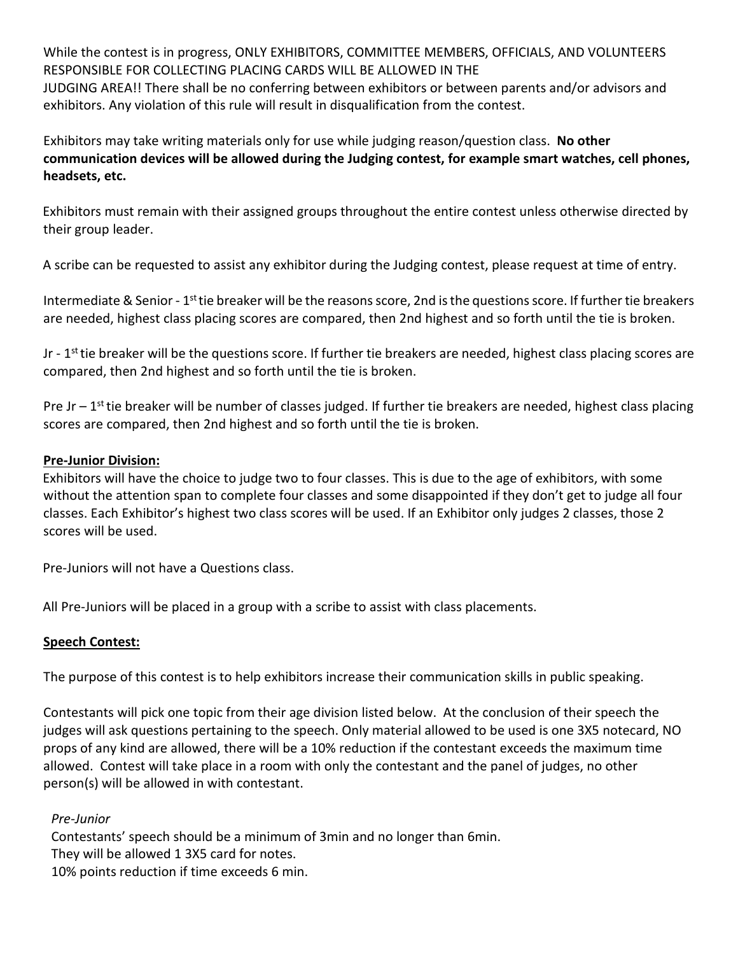While the contest is in progress, ONLY EXHIBITORS, COMMITTEE MEMBERS, OFFICIALS, AND VOLUNTEERS RESPONSIBLE FOR COLLECTING PLACING CARDS WILL BE ALLOWED IN THE JUDGING AREA!! There shall be no conferring between exhibitors or between parents and/or advisors and exhibitors. Any violation of this rule will result in disqualification from the contest.

Exhibitors may take writing materials only for use while judging reason/question class. **No other communication devices will be allowed during the Judging contest, for example smart watches, cell phones, headsets, etc.** 

Exhibitors must remain with their assigned groups throughout the entire contest unless otherwise directed by their group leader.

A scribe can be requested to assist any exhibitor during the Judging contest, please request at time of entry.

Intermediate & Senior -  $1^{st}$  tie breaker will be the reasons score, 2nd is the questions score. If further tie breakers are needed, highest class placing scores are compared, then 2nd highest and so forth until the tie is broken.

Jr -  $1<sup>st</sup>$  tie breaker will be the questions score. If further tie breakers are needed, highest class placing scores are compared, then 2nd highest and so forth until the tie is broken.

Pre Jr –  $1<sup>st</sup>$  tie breaker will be number of classes judged. If further tie breakers are needed, highest class placing scores are compared, then 2nd highest and so forth until the tie is broken.

### **Pre-Junior Division:**

Exhibitors will have the choice to judge two to four classes. This is due to the age of exhibitors, with some without the attention span to complete four classes and some disappointed if they don't get to judge all four classes. Each Exhibitor's highest two class scores will be used. If an Exhibitor only judges 2 classes, those 2 scores will be used.

Pre-Juniors will not have a Questions class.

All Pre-Juniors will be placed in a group with a scribe to assist with class placements.

## **Speech Contest:**

The purpose of this contest is to help exhibitors increase their communication skills in public speaking.

Contestants will pick one topic from their age division listed below. At the conclusion of their speech the judges will ask questions pertaining to the speech. Only material allowed to be used is one 3X5 notecard, NO props of any kind are allowed, there will be a 10% reduction if the contestant exceeds the maximum time allowed. Contest will take place in a room with only the contestant and the panel of judges, no other person(s) will be allowed in with contestant.

## *Pre-Junior*

Contestants' speech should be a minimum of 3min and no longer than 6min. They will be allowed 1 3X5 card for notes. 10% points reduction if time exceeds 6 min.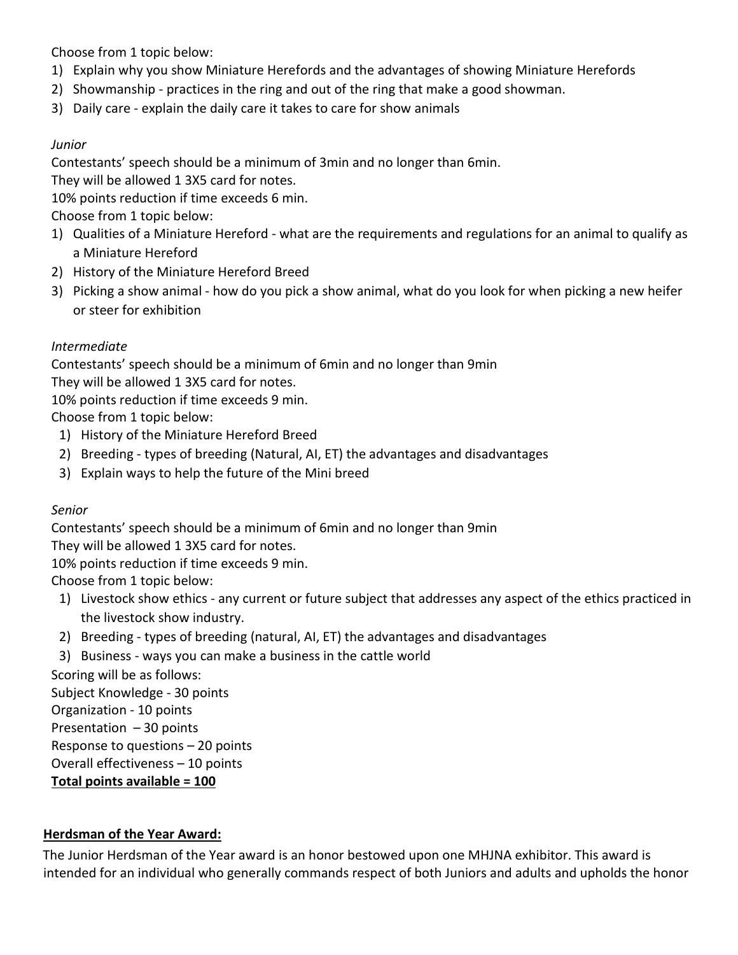Choose from 1 topic below:

- 1) Explain why you show Miniature Herefords and the advantages of showing Miniature Herefords
- 2) Showmanship practices in the ring and out of the ring that make a good showman.
- 3) Daily care explain the daily care it takes to care for show animals

# *Junior*

Contestants' speech should be a minimum of 3min and no longer than 6min.

They will be allowed 1 3X5 card for notes.

10% points reduction if time exceeds 6 min.

Choose from 1 topic below:

- 1) Qualities of a Miniature Hereford what are the requirements and regulations for an animal to qualify as a Miniature Hereford
- 2) History of the Miniature Hereford Breed
- 3) Picking a show animal how do you pick a show animal, what do you look for when picking a new heifer or steer for exhibition

# *Intermediate*

Contestants' speech should be a minimum of 6min and no longer than 9min

They will be allowed 1 3X5 card for notes.

10% points reduction if time exceeds 9 min.

Choose from 1 topic below:

- 1) History of the Miniature Hereford Breed
- 2) Breeding types of breeding (Natural, AI, ET) the advantages and disadvantages
- 3) Explain ways to help the future of the Mini breed

## *Senior*

Contestants' speech should be a minimum of 6min and no longer than 9min

They will be allowed 1 3X5 card for notes.

10% points reduction if time exceeds 9 min.

Choose from 1 topic below:

- 1) Livestock show ethics any current or future subject that addresses any aspect of the ethics practiced in the livestock show industry.
- 2) Breeding types of breeding (natural, AI, ET) the advantages and disadvantages
- 3) Business ways you can make a business in the cattle world

Scoring will be as follows: Subject Knowledge - 30 points Organization - 10 points Presentation – 30 points Response to questions – 20 points Overall effectiveness – 10 points

**Total points available = 100**

## **Herdsman of the Year Award:**

The Junior Herdsman of the Year award is an honor bestowed upon one MHJNA exhibitor. This award is intended for an individual who generally commands respect of both Juniors and adults and upholds the honor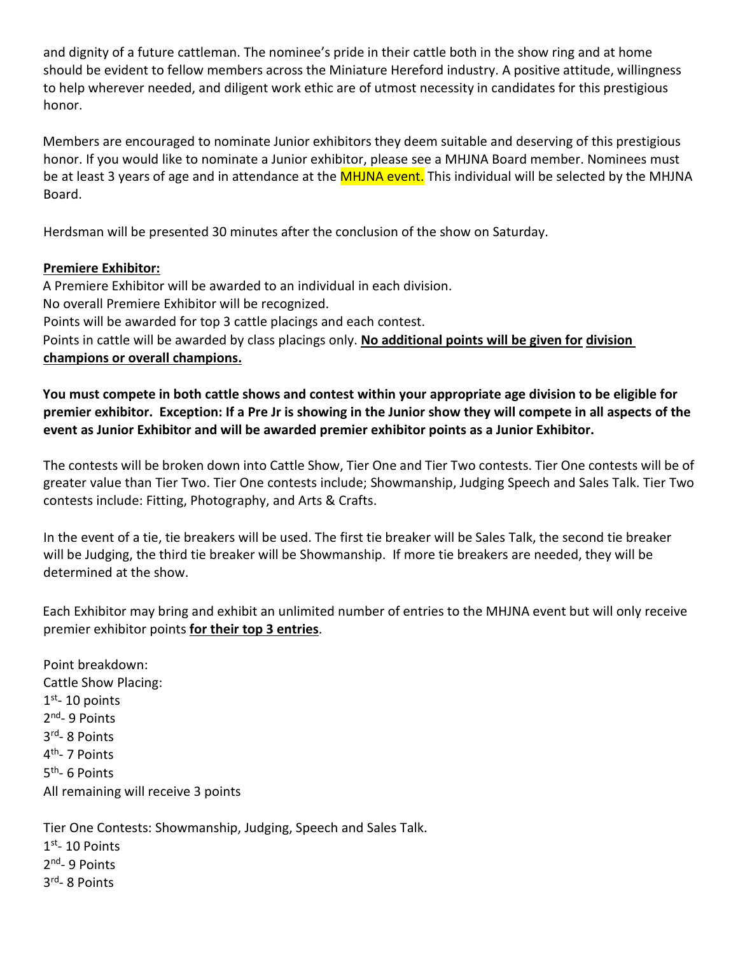and dignity of a future cattleman. The nominee's pride in their cattle both in the show ring and at home should be evident to fellow members across the Miniature Hereford industry. A positive attitude, willingness to help wherever needed, and diligent work ethic are of utmost necessity in candidates for this prestigious honor.

Members are encouraged to nominate Junior exhibitors they deem suitable and deserving of this prestigious honor. If you would like to nominate a Junior exhibitor, please see a MHJNA Board member. Nominees must be at least 3 years of age and in attendance at the **MHJNA event**. This individual will be selected by the MHJNA Board.

Herdsman will be presented 30 minutes after the conclusion of the show on Saturday.

# **Premiere Exhibitor:**

A Premiere Exhibitor will be awarded to an individual in each division. No overall Premiere Exhibitor will be recognized. Points will be awarded for top 3 cattle placings and each contest. Points in cattle will be awarded by class placings only. **No additional points will be given for division champions or overall champions.**

**You must compete in both cattle shows and contest within your appropriate age division to be eligible for premier exhibitor. Exception: If a Pre Jr is showing in the Junior show they will compete in all aspects of the event as Junior Exhibitor and will be awarded premier exhibitor points as a Junior Exhibitor.** 

The contests will be broken down into Cattle Show, Tier One and Tier Two contests. Tier One contests will be of greater value than Tier Two. Tier One contests include; Showmanship, Judging Speech and Sales Talk. Tier Two contests include: Fitting, Photography, and Arts & Crafts.

In the event of a tie, tie breakers will be used. The first tie breaker will be Sales Talk, the second tie breaker will be Judging, the third tie breaker will be Showmanship. If more tie breakers are needed, they will be determined at the show.

Each Exhibitor may bring and exhibit an unlimited number of entries to the MHJNA event but will only receive premier exhibitor points **for their top 3 entries**.

Point breakdown: Cattle Show Placing:  $1<sup>st</sup> - 10$  points 2<sup>nd</sup>- 9 Points 3rd- 8 Points 4th- 7 Points 5th- 6 Points All remaining will receive 3 points

Tier One Contests: Showmanship, Judging, Speech and Sales Talk.

 $1<sup>st</sup> - 10$  Points 2<sup>nd</sup>- 9 Points 3rd- 8 Points